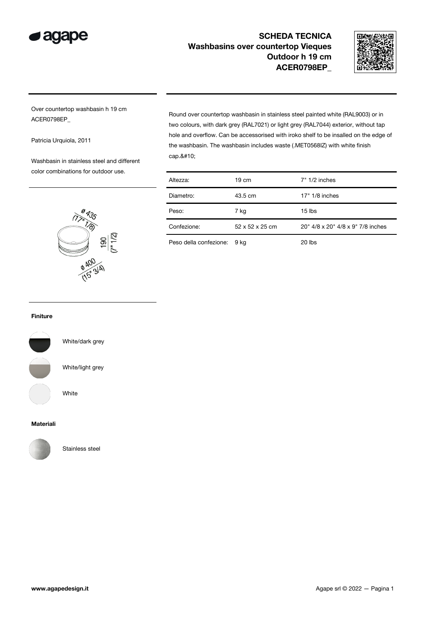



Over countertop washbasin h 19 cm ACER0798EP\_

Patricia Urquiola, 2011

Washbasin in stainless steel and different color combinations for outdoor use.

> 135  $\widehat{U}$ **TAG**

> > **B 400**<br>B 400<br>(15' 314)

 $\frac{190}{(7 \cdot 1/2)}$ 

Round over countertop washbasin in stainless steel painted white (RAL9003) or in two colours, with dark grey (RAL7021) or light grey (RAL7044) exterior, without tap hole and overflow. Can be accessorised with iroko shelf to be insalled on the edge of the washbasin. The washbasin includes waste (.MET0568IZ) with white finish cap.

| Altezza:    | $19 \text{ cm}$ | $7" 1/2$ inches                   |
|-------------|-----------------|-----------------------------------|
| Diametro:   | 43.5 cm         | $17" 1/8$ inches                  |
| Peso:       | 7 kg            | $15$ lbs                          |
| Confezione: | 52 x 52 x 25 cm | 20" 4/8 x 20" 4/8 x 9" 7/8 inches |

Peso della confezione: 9 kg 20 lbs

#### Finiture



White/dark grey

White/light grey

White

#### Materiali



Stainless steel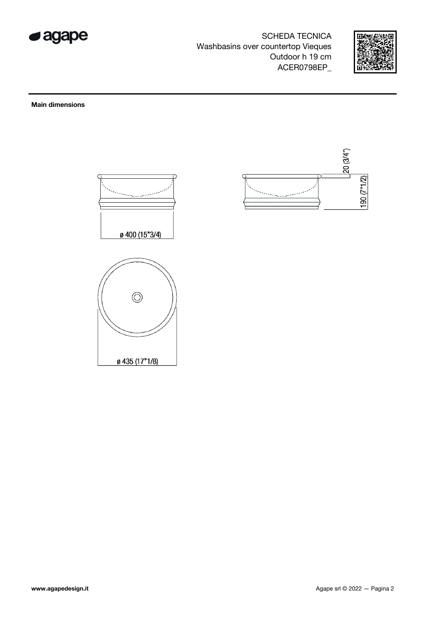



### **Main dimensions**

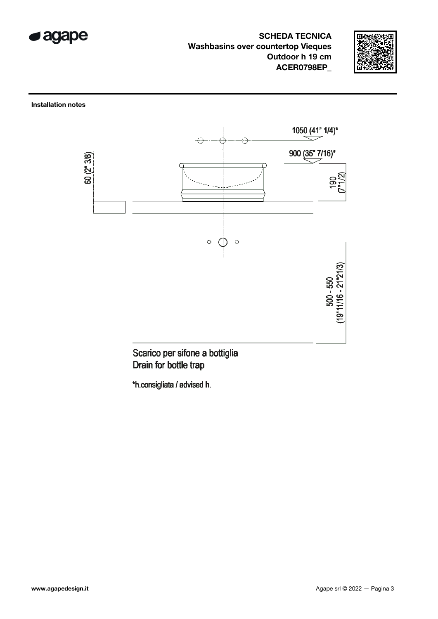



**Installation notes** 



Scarico per sifone a bottiglia Drain for bottle trap

\*h.consigliata / advised h.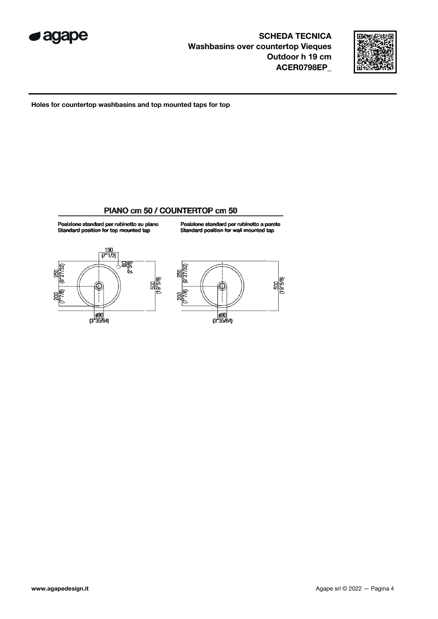



Holes for countertop washbasins and top mounted taps for top

## PIANO cm 50 / COUNTERTOP cm 50



 $\frac{990}{(3"35/64)}$ 

Posizione standard per rubinetto a parete<br>Standard position for wall mounted tap